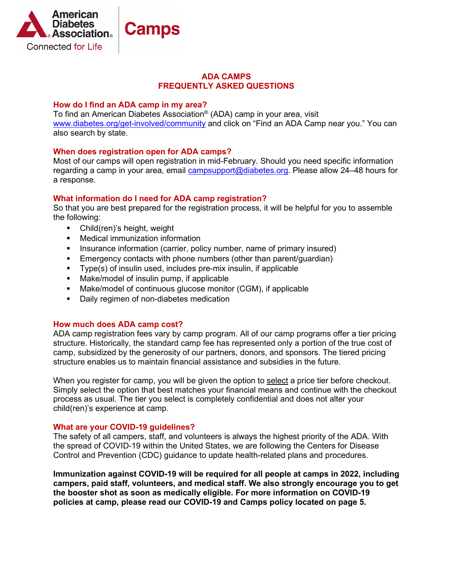

## **ADA CAMPS FREQUENTLY ASKED QUESTIONS**

## **How do I find an ADA camp in my area?**

To find an American Diabetes Association® (ADA) camp in your area, visit [www.diabetes.org/get-involved/community](http://www.diabetes.org/get-involved/community) and click on "Find an ADA Camp near you." You can also search by state.

# **When does registration open for ADA camps?**

Most of our camps will open registration in mid-February. Should you need specific information regarding a camp in your area, email [campsupport@diabetes.org.](mailto:campsupport@diabetes.org) Please allow 24–48 hours for a response.

## **What information do I need for ADA camp registration?**

So that you are best prepared for the registration process, it will be helpful for you to assemble the following:

- **EXEC** Child(ren)'s height, weight
- **•** Medical immunization information
- **Insurance information (carrier, policy number, name of primary insured)**
- **Emergency contacts with phone numbers (other than parent/guardian)**
- Type(s) of insulin used, includes pre-mix insulin, if applicable
- Make/model of insulin pump, if applicable
- Make/model of continuous glucose monitor (CGM), if applicable
- **Daily regimen of non-diabetes medication**

## **How much does ADA camp cost?**

ADA camp registration fees vary by camp program. All of our camp programs offer a tier pricing structure. Historically, the standard camp fee has represented only a portion of the true cost of camp, subsidized by the generosity of our partners, donors, and sponsors. The tiered pricing structure enables us to maintain financial assistance and subsidies in the future.

When you register for camp, you will be given the option to select a price tier before checkout. Simply select the option that best matches your financial means and continue with the checkout process as usual. The tier you select is completely confidential and does not alter your child(ren)'s experience at camp.

## **What are your COVID-19 guidelines?**

The safety of all campers, staff, and volunteers is always the highest priority of the ADA. With the spread of COVID-19 within the United States, we are following the Centers for Disease Control and Prevention (CDC) guidance to update health-related plans and procedures.

**Immunization against COVID-19 will be required for all people at camps in 2022, including campers, paid staff, volunteers, and medical staff. We also strongly encourage you to get the booster shot as soon as medically eligible. For more information on COVID-19 policies at camp, please read our COVID-19 and Camps policy located on page 5.**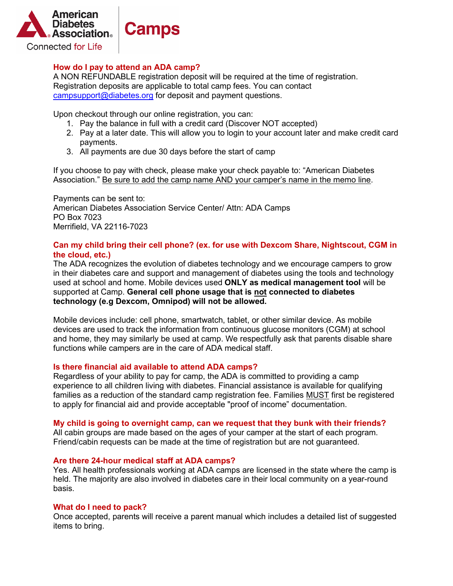

## **How do I pay to attend an ADA camp?**

A NON REFUNDABLE registration deposit will be required at the time of registration. Registration deposits are applicable to total camp fees. You can contact [campsupport@diabetes.org](mailto:campsupport@diabetes.org) for deposit and payment questions.

Upon checkout through our online registration, you can:

- 1. Pay the balance in full with a credit card (Discover NOT accepted)
- 2. Pay at a later date. This will allow you to login to your account later and make credit card payments.
- 3. All payments are due 30 days before the start of camp

If you choose to pay with check, please make your check payable to: "American Diabetes Association." Be sure to add the camp name AND your camper's name in the memo line.

Payments can be sent to: American Diabetes Association Service Center/ Attn: ADA Camps PO Box 7023 Merrifield, VA 22116-7023

## **Can my child bring their cell phone? (ex. for use with Dexcom Share, Nightscout, CGM in the cloud, etc.)**

The ADA recognizes the evolution of diabetes technology and we encourage campers to grow in their diabetes care and support and management of diabetes using the tools and technology used at school and home. Mobile devices used **ONLY as medical management tool** will be supported at Camp. **General cell phone usage that is not connected to diabetes technology (e.g Dexcom, Omnipod) will not be allowed.**

Mobile devices include: cell phone, smartwatch, tablet, or other similar device. As mobile devices are used to track the information from continuous glucose monitors (CGM) at school and home, they may similarly be used at camp. We respectfully ask that parents disable share functions while campers are in the care of ADA medical staff.

## **Is there financial aid available to attend ADA camps?**

Regardless of your ability to pay for camp, the ADA is committed to providing a camp experience to all children living with diabetes. Financial assistance is available for qualifying families as a reduction of the standard camp registration fee. Families MUST first be registered to apply for financial aid and provide acceptable "proof of income" documentation.

#### **My child is going to overnight camp, can we request that they bunk with their friends?**

All cabin groups are made based on the ages of your camper at the start of each program. Friend/cabin requests can be made at the time of registration but are not guaranteed.

#### **Are there 24-hour medical staff at ADA camps?**

Yes. All health professionals working at ADA camps are licensed in the state where the camp is held. The majority are also involved in diabetes care in their local community on a year-round basis.

## **What do I need to pack?**

Once accepted, parents will receive a parent manual which includes a detailed list of suggested items to bring.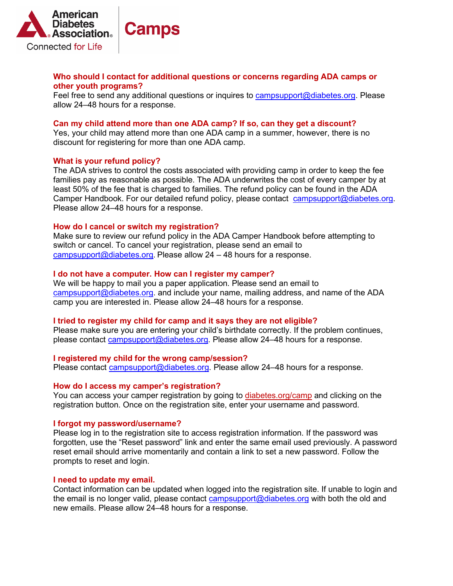

## **Who should I contact for additional questions or concerns regarding ADA camps or other youth programs?**

Feel free to send any additional questions or inquires to [campsupport@diabetes.org.](mailto:campsupport@diabetes.org) Please allow 24‒48 hours for a response.

### **Can my child attend more than one ADA camp? If so, can they get a discount?**

Yes, your child may attend more than one ADA camp in a summer, however, there is no discount for registering for more than one ADA camp.

## **What is your refund policy?**

The ADA strives to control the costs associated with providing camp in order to keep the fee families pay as reasonable as possible. The ADA underwrites the cost of every camper by at least 50% of the fee that is charged to families. The refund policy can be found in the ADA Camper Handbook. For our detailed refund policy, please contact [campsupport@diabetes.org.](mailto:campsupport@diabetes.org) Please allow 24–48 hours for a response.

#### **How do I cancel or switch my registration?**

Make sure to review our refund policy in the ADA Camper Handbook before attempting to switch or cancel. To cancel your registration, please send an email to [campsupport@diabetes.org](mailto:campsupport@diabetes.org). Please allow  $24 - 48$  hours for a response.

#### **I do not have a computer. How can I register my camper?**

We will be happy to mail you a paper application. Please send an email to [campsupport@diabetes.org.](mailto:campsupport@diabetes.org) and include your name, mailing address, and name of the ADA camp you are interested in. Please allow 24–48 hours for a response.

#### **I tried to register my child for camp and it says they are not eligible?**

Please make sure you are entering your child's birthdate correctly. If the problem continues, please contact [campsupport@diabetes.org.](mailto:campsupport@diabetes.org) Please allow 24‒48 hours for a response.

#### **I registered my child for the wrong camp/session?**

Please contact [campsupport@diabetes.org.](mailto:campsupport@diabetes.org) Please allow 24–48 hours for a response.

#### **How do I access my camper's registration?**

You can access your camper registration by going to [diabetes.org/camp](http://diabetes.org/camp) and clicking on the registration button. Once on the registration site, enter your username and password.

#### **I forgot my password/username?**

Please log in to the registration site to access registration information. If the password was forgotten, use the "Reset password" link and enter the same email used previously. A password reset email should arrive momentarily and contain a link to set a new password. Follow the prompts to reset and login.

#### **I need to update my email.**

Contact information can be updated when logged into the registration site. If unable to login and the email is no longer valid, please contact [campsupport@diabetes.org](mailto:campsupport@diabetes.org) with both the old and new emails. Please allow 24–48 hours for a response.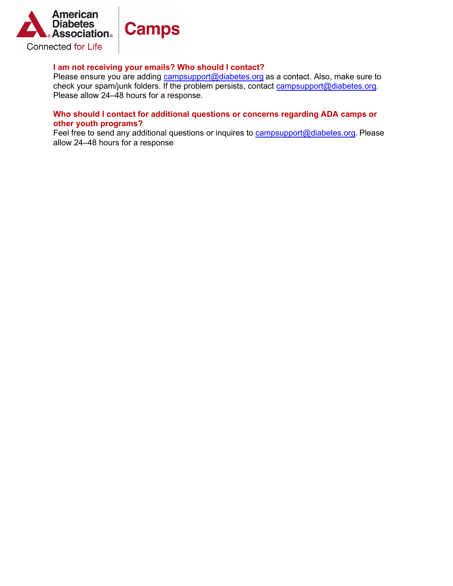

# **I am not receiving your emails? Who should I contact?**

Please ensure you are adding [campsupport@diabetes.org](mailto:campsupport@diabetes.org) as a contact. Also, make sure to check your spam/junk folders. If the problem persists, contact [campsupport@diabetes.org.](mailto:campsupport@diabetes.org) Please allow 24–48 hours for a response.

# **Who should I contact for additional questions or concerns regarding ADA camps or other youth programs?**

Feel free to send any additional questions or inquires to **campsupport@diabetes.org**. Please allow 24‒48 hours for a response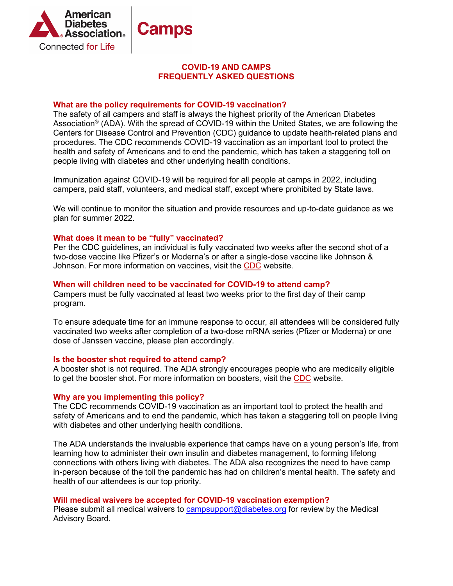

# **COVID-19 AND CAMPS FREQUENTLY ASKED QUESTIONS**

## **What are the policy requirements for COVID-19 vaccination?**

The safety of all campers and staff is always the highest priority of the American Diabetes Association® (ADA). With the spread of COVID-19 within the United States, we are following the Centers for Disease Control and Prevention (CDC) guidance to update health-related plans and procedures. The CDC recommends COVID-19 vaccination as an important tool to protect the health and safety of Americans and to end the pandemic, which has taken a staggering toll on people living with diabetes and other underlying health conditions.

Immunization against COVID-19 will be required for all people at camps in 2022, including campers, paid staff, volunteers, and medical staff, except where prohibited by State laws.

We will continue to monitor the situation and provide resources and up-to-date guidance as we plan for summer 2022.

## **What does it mean to be "fully" vaccinated?**

Per the CDC guidelines, an individual is fully vaccinated two weeks after the second shot of a two-dose vaccine like Pfizer's or Moderna's or after a single-dose vaccine like Johnson & Johnson. For more information on vaccines, visit the [CDC](https://www.cdc.gov/coronavirus/2019-ncov/vaccines/stay-up-to-date.html?CDC_AA_refVal=https%3A%2F%2Fwww.cdc.gov%2Fcoronavirus%2F2019-ncov%2Fvaccines%2Ffully-vaccinated.html) website.

#### **When will children need to be vaccinated for COVID-19 to attend camp?**

Campers must be fully vaccinated at least two weeks prior to the first day of their camp program.

To ensure adequate time for an immune response to occur, all attendees will be considered fully vaccinated two weeks after completion of a two-dose mRNA series (Pfizer or Moderna) or one dose of Janssen vaccine, please plan accordingly.

#### **Is the booster shot required to attend camp?**

A booster shot is not required. The ADA strongly encourages people who are medically eligible to get the booster shot. For more information on boosters, visit the [CDC](https://www.cdc.gov/coronavirus/2019-ncov/vaccines/stay-up-to-date.html?CDC_AA_refVal=https%3A%2F%2Fwww.cdc.gov%2Fcoronavirus%2F2019-ncov%2Fvaccines%2Ffully-vaccinated.html) website.

## **Why are you implementing this policy?**

The CDC recommends COVID-19 vaccination as an important tool to protect the health and safety of Americans and to end the pandemic, which has taken a staggering toll on people living with diabetes and other underlying health conditions.

The ADA understands the invaluable experience that camps have on a young person's life, from learning how to administer their own insulin and diabetes management, to forming lifelong connections with others living with diabetes. The ADA also recognizes the need to have camp in-person because of the toll the pandemic has had on children's mental health. The safety and health of our attendees is our top priority.

## **Will medical waivers be accepted for COVID-19 vaccination exemption?**

Please submit all medical waivers to [campsupport@diabetes.org](mailto:campsupport@diabetes.org) for review by the Medical Advisory Board.